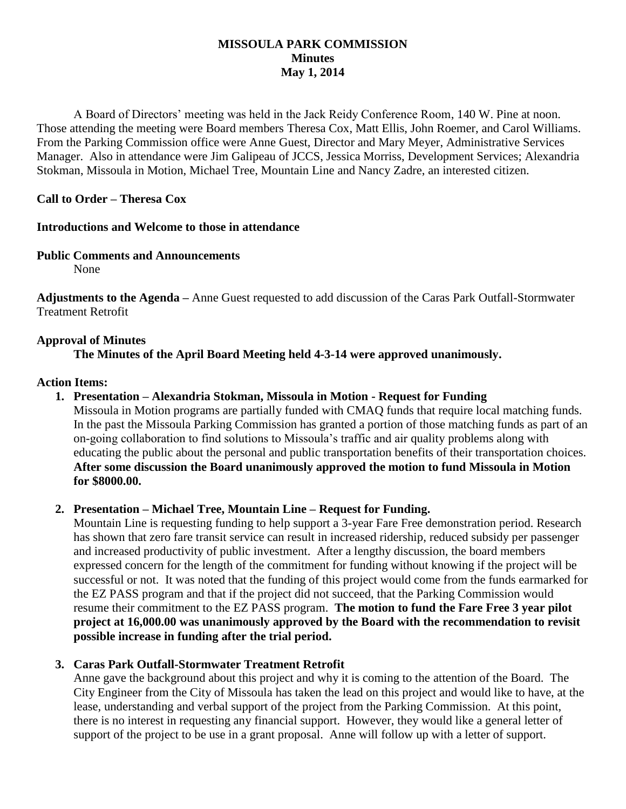# **MISSOULA PARK COMMISSION Minutes May 1, 2014**

A Board of Directors' meeting was held in the Jack Reidy Conference Room, 140 W. Pine at noon. Those attending the meeting were Board members Theresa Cox, Matt Ellis, John Roemer, and Carol Williams. From the Parking Commission office were Anne Guest, Director and Mary Meyer, Administrative Services Manager. Also in attendance were Jim Galipeau of JCCS, Jessica Morriss, Development Services; Alexandria Stokman, Missoula in Motion, Michael Tree, Mountain Line and Nancy Zadre, an interested citizen.

# **Call to Order – Theresa Cox**

### **Introductions and Welcome to those in attendance**

# **Public Comments and Announcements**

None

**Adjustments to the Agenda –** Anne Guest requested to add discussion of the Caras Park Outfall-Stormwater Treatment Retrofit

# **Approval of Minutes**

**The Minutes of the April Board Meeting held 4-3-14 were approved unanimously.**

# **Action Items:**

# **1. Presentation – Alexandria Stokman, Missoula in Motion - Request for Funding**

Missoula in Motion programs are partially funded with CMAQ funds that require local matching funds. In the past the Missoula Parking Commission has granted a portion of those matching funds as part of an on-going collaboration to find solutions to Missoula's traffic and air quality problems along with educating the public about the personal and public transportation benefits of their transportation choices. **After some discussion the Board unanimously approved the motion to fund Missoula in Motion for \$8000.00.**

### **2. Presentation – Michael Tree, Mountain Line – Request for Funding.**

Mountain Line is requesting funding to help support a 3-year Fare Free demonstration period. Research has shown that zero fare transit service can result in increased ridership, reduced subsidy per passenger and increased productivity of public investment. After a lengthy discussion, the board members expressed concern for the length of the commitment for funding without knowing if the project will be successful or not. It was noted that the funding of this project would come from the funds earmarked for the EZ PASS program and that if the project did not succeed, that the Parking Commission would resume their commitment to the EZ PASS program. **The motion to fund the Fare Free 3 year pilot project at 16,000.00 was unanimously approved by the Board with the recommendation to revisit possible increase in funding after the trial period.**

# **3. Caras Park Outfall-Stormwater Treatment Retrofit**

Anne gave the background about this project and why it is coming to the attention of the Board. The City Engineer from the City of Missoula has taken the lead on this project and would like to have, at the lease, understanding and verbal support of the project from the Parking Commission. At this point, there is no interest in requesting any financial support. However, they would like a general letter of support of the project to be use in a grant proposal. Anne will follow up with a letter of support.